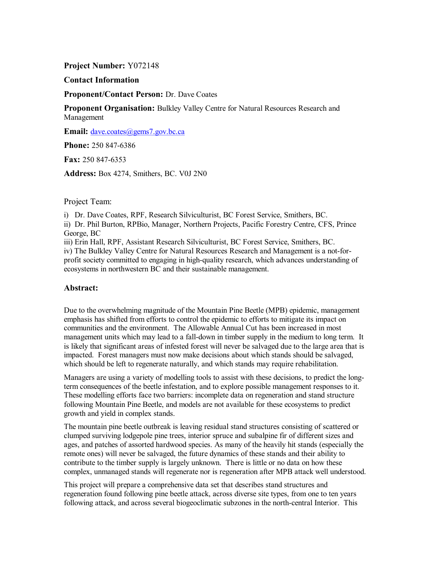**Project Number:** Y072148

**Contact Information**

**Proponent/Contact Person:** Dr. Dave Coates

**Proponent Organisation:** Bulkley Valley Centre for Natural Resources Research and Management

**Email:** dave.coates@gems7.gov.bc.ca

**Phone:** 250 847-6386

**Fax:** 250 847-6353

**Address:** Box 4274, Smithers, BC. V0J 2N0

Project Team:

i) Dr. Dave Coates, RPF, Research Silviculturist, BC Forest Service, Smithers, BC. ii) Dr. Phil Burton, RPBio, Manager, Northern Projects, Pacific Forestry Centre, CFS, Prince George, BC

iii) Erin Hall, RPF, Assistant Research Silviculturist, BC Forest Service, Smithers, BC. iv) The Bulkley Valley Centre for Natural Resources Research and Management is a not-forprofit society committed to engaging in high-quality research, which advances understanding of ecosystems in northwestern BC and their sustainable management.

#### **Abstract:**

Due to the overwhelming magnitude of the Mountain Pine Beetle (MPB) epidemic, management emphasis has shifted from efforts to control the epidemic to efforts to mitigate its impact on communities and the environment. The Allowable Annual Cut has been increased in most management units which may lead to a fall-down in timber supply in the medium to long term. It is likely that significant areas of infested forest will never be salvaged due to the large area that is impacted. Forest managers must now make decisions about which stands should be salvaged, which should be left to regenerate naturally, and which stands may require rehabilitation.

Managers are using a variety of modelling tools to assist with these decisions, to predict the longterm consequences of the beetle infestation, and to explore possible management responses to it. These modelling efforts face two barriers: incomplete data on regeneration and stand structure following Mountain Pine Beetle, and models are not available for these ecosystems to predict growth and yield in complex stands.

The mountain pine beetle outbreak is leaving residual stand structures consisting of scattered or clumped surviving lodgepole pine trees, interior spruce and subalpine fir of different sizes and ages, and patches of assorted hardwood species. As many of the heavily hit stands (especially the remote ones) will never be salvaged, the future dynamics of these stands and their ability to contribute to the timber supply is largely unknown. There is little or no data on how these complex, unmanaged stands will regenerate nor is regeneration after MPB attack well understood.

This project will prepare a comprehensive data set that describes stand structures and regeneration found following pine beetle attack, across diverse site types, from one to ten years following attack, and across several biogeoclimatic subzones in the north-central Interior. This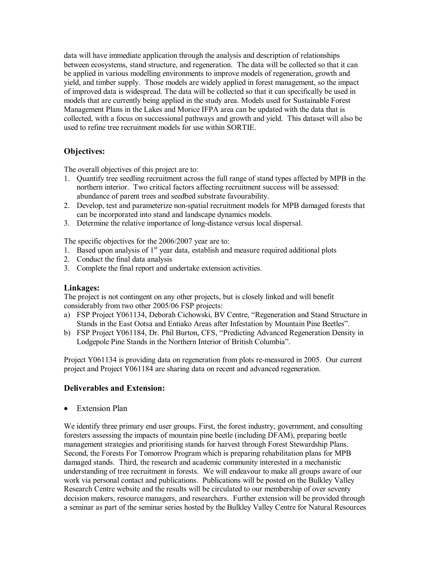data will have immediate application through the analysis and description of relationships between ecosystems, stand structure, and regeneration. The data will be collected so that it can be applied in various modelling environments to improve models of regeneration, growth and yield, and timber supply. Those models are widely applied in forest management, so the impact of improved data is widespread. The data will be collected so that it can specifically be used in models that are currently being applied in the study area. Models used for Sustainable Forest Management Plans in the Lakes and Morice IFPA area can be updated with the data that is collected, with a focus on successional pathways and growth and yield. This dataset will also be used to refine tree recruitment models for use within SORTIE.

# **Objectives:**

The overall objectives of this project are to:

- 1. Quantify tree seedling recruitment across the full range of stand types affected by MPB in the northern interior. Two critical factors affecting recruitment success will be assessed: abundance of parent trees and seedbed substrate favourability.
- 2. Develop, test and parameterize non-spatial recruitment models for MPB damaged forests that can be incorporated into stand and landscape dynamics models.
- 3. Determine the relative importance of long-distance versus local dispersal.

The specific objectives for the 2006/2007 year are to:

- 1. Based upon analysis of  $1<sup>st</sup>$  year data, establish and measure required additional plots
- 2. Conduct the final data analysis
- 3. Complete the final report and undertake extension activities.

#### **Linkages:**

The project is not contingent on any other projects, but is closely linked and will benefit considerably from two other 2005/06 FSP projects:

- a) FSP Project Y061134, Deborah Cichowski, BV Centre, "Regeneration and Stand Structure in Stands in the East Ootsa and Entiako Areas after Infestation by Mountain Pine Beetles".
- b) FSP Project Y061184, Dr. Phil Burton, CFS, "Predicting Advanced Regeneration Density in Lodgepole Pine Stands in the Northern Interior of British Columbia".

Project Y061134 is providing data on regeneration from plots re-measured in 2005. Our current project and Project Y061184 are sharing data on recent and advanced regeneration.

#### **Deliverables and Extension:**

• Extension Plan

We identify three primary end user groups. First, the forest industry, government, and consulting foresters assessing the impacts of mountain pine beetle (including DFAM), preparing beetle management strategies and prioritising stands for harvest through Forest Stewardship Plans. Second, the Forests For Tomorrow Program which is preparing rehabilitation plans for MPB damaged stands. Third, the research and academic community interested in a mechanistic understanding of tree recruitment in forests. We will endeavour to make all groups aware of our work via personal contact and publications. Publications will be posted on the Bulkley Valley Research Centre website and the results will be circulated to our membership of over seventy decision makers, resource managers, and researchers. Further extension will be provided through a seminar as part of the seminar series hosted by the Bulkley Valley Centre for Natural Resources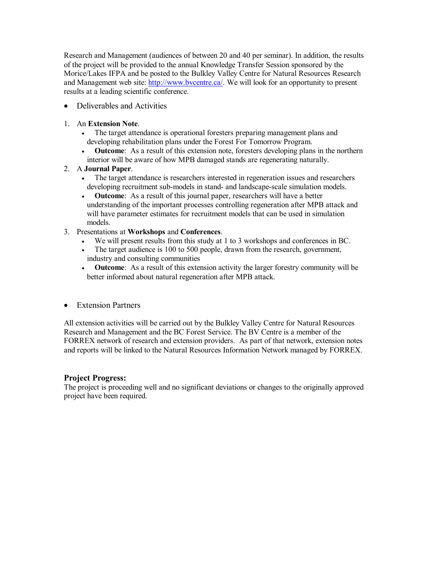Research and Management (audiences of between 20 and 40 per seminar). In addition, the results of the project will be provided to the annual Knowledge Transfer Session sponsored by the Morice/Lakes IFPA and be posted to the Bulkley Valley Centre for Natural Resources Research and Management web site: http://www.bvcentre.ca/. We will look for an opportunity to present results at a leading scientific conference.

- · Deliverables and Activities
- 1. An **Extension Note**.
	- · The target attendance is operational foresters preparing management plans and developing rehabilitation plans under the Forest For Tomorrow Program.
	- **Outcome**: As a result of this extension note, foresters developing plans in the northern interior will be aware of how MPB damaged stands are regenerating naturally.
- 2. A **Journal Paper**.
	- · The target attendance is researchers interested in regeneration issues and researchers developing recruitment sub-models in stand- and landscape-scale simulation models.
	- · **Outcome**: As a result of this journal paper, researchers will have a better understanding of the important processes controlling regeneration after MPB attack and will have parameter estimates for recruitment models that can be used in simulation models.
- 3. Presentations at **Workshops** and **Conferences**.
	- · We will present results from this study at 1 to 3 workshops and conferences in BC.
	- The target audience is 100 to 500 people, drawn from the research, government, industry and consulting communities
	- · **Outcome**: As a result of this extension activity the larger forestry community will be better informed about natural regeneration after MPB attack.
- · Extension Partners

All extension activities will be carried out by the Bulkley Valley Centre for Natural Resources Research and Management and the BC Forest Service. The BV Centre is a member of the FORREX network of research and extension providers. As part of that network, extension notes and reports will be linked to the Natural Resources Information Network managed by FORREX.

# **Project Progress:**

The project is proceeding well and no significant deviations or changes to the originally approved project have been required.